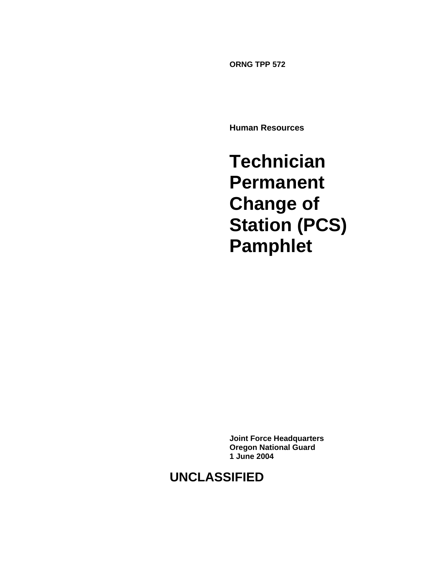**ORNG TPP 572** 

**Human Resources** 

**Technician Permanent Change of Station (PCS) Pamphlet**

**Joint Force Headquarters Oregon National Guard 1 June 2004** 

# **UNCLASSIFIED**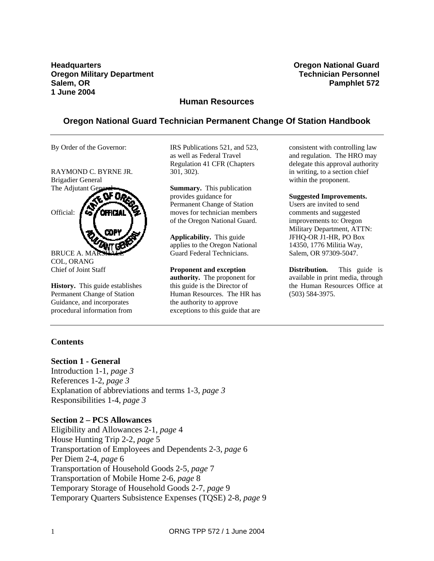**Headquarters Oregon National Guard Oregon Military Department Community Community Community Community Community Community Community Community Community Community Community Community Community Community Community Community Community Community Community Comm Salem, OR** Pamphlet 572 **1 June 2004** 

### **Human Resources**

# **Oregon National Guard Technician Permanent Change Of Station Handbook**

By Order of the Governor:

RAYMOND C. BYRNE JR. Brigadier General The Adjutant C



BRUCE A. MA COL, ORANG Chief of Joint Staff

**History.** This guide establishes Permanent Change of Station Guidance, and incorporates procedural information from

IRS Publications 521, and 523, as well as Federal Travel Regulation 41 CFR (Chapters 301, 302).

**Summary.** This publication provides guidance for Permanent Change of Station moves for technician members of the Oregon National Guard.

**Applicability.** This guide applies to the Oregon National Guard Federal Technicians.

**Proponent and exception authority.** The proponent for this guide is the Director of Human Resources. The HR has the authority to approve exceptions to this guide that are

consistent with controlling law and regulation. The HRO may delegate this approval authority in writing, to a section chief within the proponent.

#### **Suggested Improvements.**

Users are invited to send comments and suggested improvements to: Oregon Military Department, ATTN: JFHQ-OR J1-HR, PO Box 14350, 1776 Militia Way, Salem, OR 97309-5047.

**Distribution.** This guide is available in print media, through the Human Resources Office at (503) 584-3975.

### **Contents**

#### **Section 1 - General**

Introduction 1-1, *page 3* References 1-2, *page 3*  Explanation of abbreviations and terms 1-3, *page 3* Responsibilities 1-4, *page 3*

#### **Section 2 – PCS Allowances**

Eligibility and Allowances 2-1, *page* 4 House Hunting Trip 2-2, *page* 5 Transportation of Employees and Dependents 2-3, *page* 6 Per Diem 2-4, *page* 6 Transportation of Household Goods 2-5, *page* 7 Transportation of Mobile Home 2-6, *page* 8 Temporary Storage of Household Goods 2-7, *page* 9 Temporary Quarters Subsistence Expenses (TQSE) 2-8, *page* 9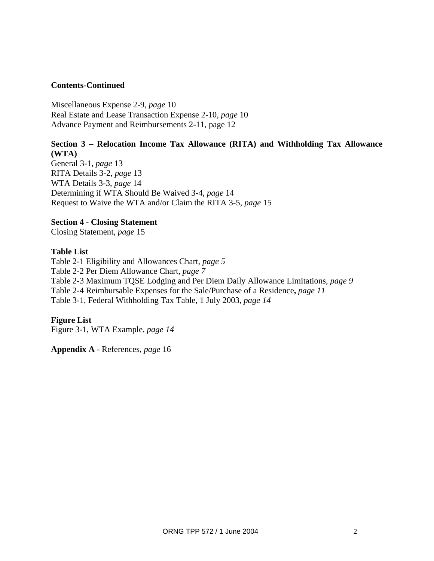# **Contents-Continued**

Miscellaneous Expense 2-9, *page* 10 Real Estate and Lease Transaction Expense 2-10, *page* 10 Advance Payment and Reimbursements 2-11, page 12

# **Section 3 – Relocation Income Tax Allowance (RITA) and Withholding Tax Allowance (WTA)**

General 3-1, *page* 13 RITA Details 3-2, *page* 13 WTA Details 3-3, *page* 14 Determining if WTA Should Be Waived 3-4, *page* 14 Request to Waive the WTA and/or Claim the RITA 3-5, *page* 15

### **Section 4 - Closing Statement**

Closing Statement, *page* 15

### **Table List**

Table 2-1 Eligibility and Allowances Chart, *page 5*  Table 2-2 Per Diem Allowance Chart, *page 7* Table 2-3 Maximum TQSE Lodging and Per Diem Daily Allowance Limitations, *page 9*  Table 2-4 Reimbursable Expenses for the Sale/Purchase of a Residence**,** *page 11*  Table 3-1, Federal Withholding Tax Table, 1 July 2003, *page 14*

### **Figure List**

Figure 3-1, WTA Example, *page 14*

**Appendix A** - References, *page* 16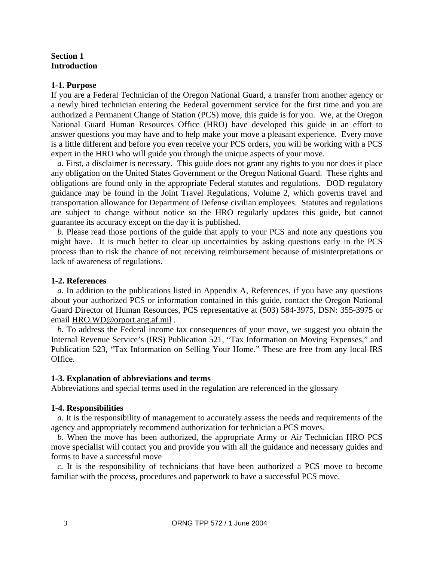### **Section 1 Introduction**

#### **1-1. Purpose**

If you are a Federal Technician of the Oregon National Guard, a transfer from another agency or a newly hired technician entering the Federal government service for the first time and you are authorized a Permanent Change of Station (PCS) move, this guide is for you. We, at the Oregon National Guard Human Resources Office (HRO) have developed this guide in an effort to answer questions you may have and to help make your move a pleasant experience. Every move is a little different and before you even receive your PCS orders, you will be working with a PCS expert in the HRO who will guide you through the unique aspects of your move.

*a.* First, a disclaimer is necessary. This guide does not grant any rights to you nor does it place any obligation on the United States Government or the Oregon National Guard. These rights and obligations are found only in the appropriate Federal statutes and regulations. DOD regulatory guidance may be found in the Joint Travel Regulations, Volume 2, which governs travel and transportation allowance for Department of Defense civilian employees. Statutes and regulations are subject to change without notice so the HRO regularly updates this guide, but cannot guarantee its accuracy except on the day it is published.

*b.* Please read those portions of the guide that apply to your PCS and note any questions you might have. It is much better to clear up uncertainties by asking questions early in the PCS process than to risk the chance of not receiving reimbursement because of misinterpretations or lack of awareness of regulations.

### **1-2. References**

*a.* In addition to the publications listed in Appendix A, References, if you have any questions about your authorized PCS or information contained in this guide, contact the Oregon National Guard Director of Human Resources, PCS representative at (503) 584-3975, DSN: 355-3975 or email HRO.WD@orport.ang.af.mil .

*b.* To address the Federal income tax consequences of your move, we suggest you obtain the Internal Revenue Service's (IRS) Publication 521, "Tax Information on Moving Expenses," and Publication 523, "Tax Information on Selling Your Home." These are free from any local IRS Office.

#### **1-3. Explanation of abbreviations and terms**

Abbreviations and special terms used in the regulation are referenced in the glossary

#### **1-4. Responsibilities**

*a.* It is the responsibility of management to accurately assess the needs and requirements of the agency and appropriately recommend authorization for technician a PCS moves.

*b*. When the move has been authorized, the appropriate Army or Air Technician HRO PCS move specialist will contact you and provide you with all the guidance and necessary guides and forms to have a successful move

*c.* It is the responsibility of technicians that have been authorized a PCS move to become familiar with the process, procedures and paperwork to have a successful PCS move.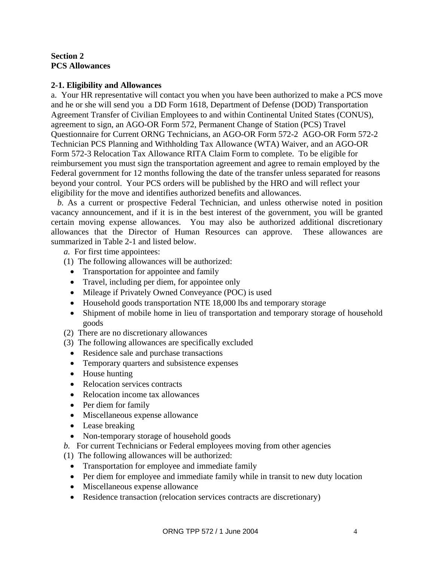**Section 2 PCS Allowances** 

### **2-1. Eligibility and Allowances**

a. Your HR representative will contact you when you have been authorized to make a PCS move and he or she will send you a DD Form 1618, Department of Defense (DOD) Transportation Agreement Transfer of Civilian Employees to and within Continental United States (CONUS), agreement to sign, an AGO-OR Form 572, Permanent Change of Station (PCS) Travel Questionnaire for Current ORNG Technicians, an AGO-OR Form 572-2 AGO-OR Form 572-2 Technician PCS Planning and Withholding Tax Allowance (WTA) Waiver, and an AGO-OR Form 572-3 Relocation Tax Allowance RITA Claim Form to complete. To be eligible for reimbursement you must sign the transportation agreement and agree to remain employed by the Federal government for 12 months following the date of the transfer unless separated for reasons beyond your control. Your PCS orders will be published by the HRO and will reflect your eligibility for the move and identifies authorized benefits and allowances.

*b.* As a current or prospective Federal Technician, and unless otherwise noted in position vacancy announcement, and if it is in the best interest of the government, you will be granted certain moving expense allowances. You may also be authorized additional discretionary allowances that the Director of Human Resources can approve. These allowances are summarized in Table 2-1 and listed below.

 *a.* For first time appointees:

- (1) The following allowances will be authorized:
	- Transportation for appointee and family
	- Travel, including per diem, for appointee only
	- Mileage if Privately Owned Conveyance (POC) is used
	- Household goods transportation NTE 18,000 lbs and temporary storage
	- Shipment of mobile home in lieu of transportation and temporary storage of household goods
- (2) There are no discretionary allowances
- (3) The following allowances are specifically excluded
	- Residence sale and purchase transactions
	- Temporary quarters and subsistence expenses
	- House hunting
	- Relocation services contracts
	- Relocation income tax allowances
	- Per diem for family
	- Miscellaneous expense allowance
	- Lease breaking
	- Non-temporary storage of household goods
- *b.* For current Technicians or Federal employees moving from other agencies

(1) The following allowances will be authorized:

- Transportation for employee and immediate family
- Per diem for employee and immediate family while in transit to new duty location
- Miscellaneous expense allowance
- Residence transaction (relocation services contracts are discretionary)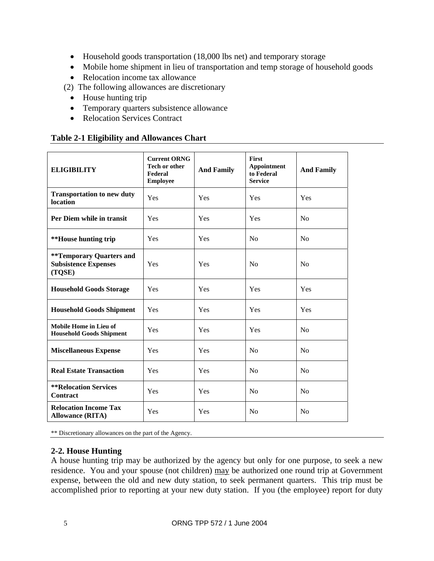- Household goods transportation (18,000 lbs net) and temporary storage
- Mobile home shipment in lieu of transportation and temp storage of household goods
- Relocation income tax allowance
- (2) The following allowances are discretionary
	- House hunting trip
	- Temporary quarters subsistence allowance
	- Relocation Services Contract

# **Table 2-1 Eligibility and Allowances Chart**

| <b>ELIGIBILITY</b>                                                       | <b>Current ORNG</b><br><b>Tech or other</b><br>Federal<br><b>Employee</b> | <b>And Family</b> | First<br><b>Appointment</b><br>to Federal<br><b>Service</b> | <b>And Family</b> |
|--------------------------------------------------------------------------|---------------------------------------------------------------------------|-------------------|-------------------------------------------------------------|-------------------|
| <b>Transportation to new duty</b><br>location                            | Yes                                                                       | Yes               | Yes                                                         | Yes               |
| Per Diem while in transit                                                | Yes                                                                       | Yes               | Yes                                                         | No                |
| **House hunting trip                                                     | Yes                                                                       | Yes               | N <sub>o</sub>                                              | N <sub>0</sub>    |
| <b>**Temporary Quarters and</b><br><b>Subsistence Expenses</b><br>(TQSE) | Yes                                                                       | <b>Yes</b>        | No                                                          | No                |
| <b>Household Goods Storage</b>                                           | Yes                                                                       | Yes               | Yes                                                         | Yes               |
| <b>Household Goods Shipment</b>                                          | Yes                                                                       | Yes               | <b>Yes</b>                                                  | Yes               |
| Mobile Home in Lieu of<br><b>Household Goods Shipment</b>                | Yes                                                                       | Yes               | Yes                                                         | No                |
| <b>Miscellaneous Expense</b>                                             | Yes                                                                       | Yes               | No                                                          | N <sub>0</sub>    |
| <b>Real Estate Transaction</b>                                           | Yes                                                                       | Yes               | N <sub>0</sub>                                              | N <sub>o</sub>    |
| <b>**Relocation Services</b><br>Contract                                 | Yes                                                                       | Yes               | No                                                          | No                |
| <b>Relocation Income Tax</b><br><b>Allowance (RITA)</b>                  | Yes                                                                       | Yes               | N <sub>o</sub>                                              | N <sub>0</sub>    |

\*\* Discretionary allowances on the part of the Agency.

# **2-2. House Hunting**

A house hunting trip may be authorized by the agency but only for one purpose, to seek a new residence. You and your spouse (not children) may be authorized one round trip at Government expense, between the old and new duty station, to seek permanent quarters. This trip must be accomplished prior to reporting at your new duty station. If you (the employee) report for duty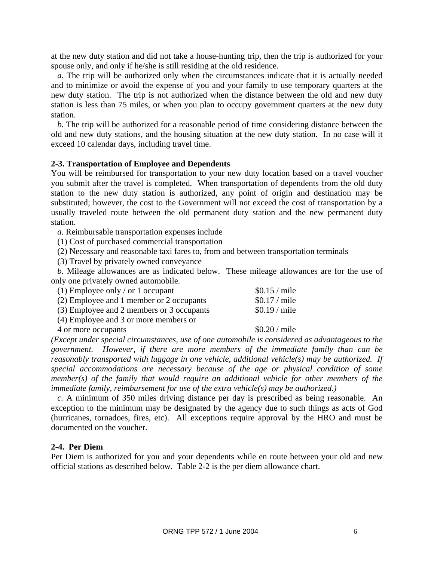at the new duty station and did not take a house-hunting trip, then the trip is authorized for your spouse only, and only if he/she is still residing at the old residence.

*a.* The trip will be authorized only when the circumstances indicate that it is actually needed and to minimize or avoid the expense of you and your family to use temporary quarters at the new duty station. The trip is not authorized when the distance between the old and new duty station is less than 75 miles, or when you plan to occupy government quarters at the new duty station.

*b.* The trip will be authorized for a reasonable period of time considering distance between the old and new duty stations, and the housing situation at the new duty station. In no case will it exceed 10 calendar days, including travel time.

#### **2-3. Transportation of Employee and Dependents**

You will be reimbursed for transportation to your new duty location based on a travel voucher you submit after the travel is completed. When transportation of dependents from the old duty station to the new duty station is authorized, any point of origin and destination may be substituted; however, the cost to the Government will not exceed the cost of transportation by a usually traveled route between the old permanent duty station and the new permanent duty station.

*a.* Reimbursable transportation expenses include

(1) Cost of purchased commercial transportation

(2) Necessary and reasonable taxi fares to, from and between transportation terminals

(3) Travel by privately owned conveyance

*b.* Mileage allowances are as indicated below. These mileage allowances are for the use of only one privately owned automobile.

| (1) Employee only / or 1 occupant         | $$0.15 /$ mile |
|-------------------------------------------|----------------|
| (2) Employee and 1 member or 2 occupants  | $$0.17 /$ mile |
| (3) Employee and 2 members or 3 occupants | $$0.19 /$ mile |
| (4) Employee and 3 or more members or     |                |

4 or more occupants \$0.20 / mile

*(Except under special circumstances, use of one automobile is considered as advantageous to the government. However, if there are more members of the immediate family than can be reasonably transported with luggage in one vehicle, additional vehicle(s) may be authorized. If special accommodations are necessary because of the age or physical condition of some member(s) of the family that would require an additional vehicle for other members of the immediate family, reimbursement for use of the extra vehicle(s) may be authorized.)* 

*c.* A minimum of 350 miles driving distance per day is prescribed as being reasonable. An exception to the minimum may be designated by the agency due to such things as acts of God (hurricanes, tornadoes, fires, etc). All exceptions require approval by the HRO and must be documented on the voucher.

#### **2-4. Per Diem**

Per Diem is authorized for you and your dependents while en route between your old and new official stations as described below. Table 2-2 is the per diem allowance chart.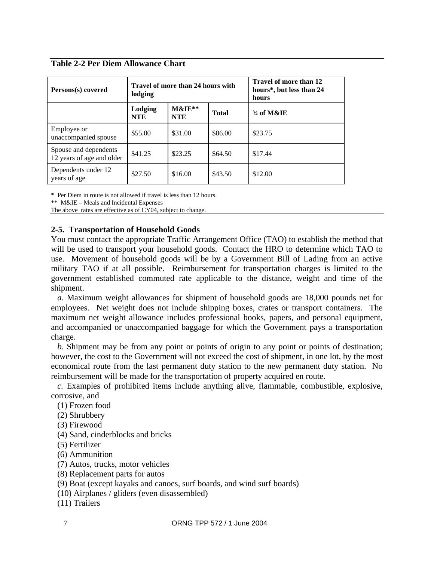**Table 2-2 Per Diem Allowance Chart** 

| Persons(s) covered                                 | Travel of more than 24 hours with<br>lodging |                           |              | Travel of more than 12<br>hours*, but less than 24<br>hours |
|----------------------------------------------------|----------------------------------------------|---------------------------|--------------|-------------------------------------------------------------|
|                                                    | Lodging<br><b>NTE</b>                        | $M\&I\&I^*$<br><b>NTE</b> | <b>Total</b> | $3/4$ of M&IE                                               |
| Employee or<br>unaccompanied spouse                | \$55.00                                      | \$31.00                   | \$86.00      | \$23.75                                                     |
| Spouse and dependents<br>12 years of age and older | \$41.25                                      | \$23.25                   | \$64.50      | \$17.44                                                     |
| Dependents under 12<br>years of age                | \$27.50                                      | \$16.00                   | \$43.50      | \$12.00                                                     |

\* Per Diem in route is not allowed if travel is less than 12 hours.

\*\* M&IE – Meals and Incidental Expenses

The above rates are effective as of CY04, subject to change.

# **2-5. Transportation of Household Goods**

You must contact the appropriate Traffic Arrangement Office (TAO) to establish the method that will be used to transport your household goods. Contact the HRO to determine which TAO to use. Movement of household goods will be by a Government Bill of Lading from an active military TAO if at all possible. Reimbursement for transportation charges is limited to the government established commuted rate applicable to the distance, weight and time of the shipment.

*a.* Maximum weight allowances for shipment of household goods are 18,000 pounds net for employees. Net weight does not include shipping boxes, crates or transport containers. The maximum net weight allowance includes professional books, papers, and personal equipment, and accompanied or unaccompanied baggage for which the Government pays a transportation charge.

*b.* Shipment may be from any point or points of origin to any point or points of destination; however, the cost to the Government will not exceed the cost of shipment, in one lot, by the most economical route from the last permanent duty station to the new permanent duty station. No reimbursement will be made for the transportation of property acquired en route.

*c.* Examples of prohibited items include anything alive, flammable, combustible, explosive, corrosive, and

(1) Frozen food

(2) Shrubbery

- (3) Firewood
- (4) Sand, cinderblocks and bricks
- (5) Fertilizer
- (6) Ammunition
- (7) Autos, trucks, motor vehicles
- (8) Replacement parts for autos
- (9) Boat (except kayaks and canoes, surf boards, and wind surf boards)
- (10) Airplanes / gliders (even disassembled)
- (11) Trailers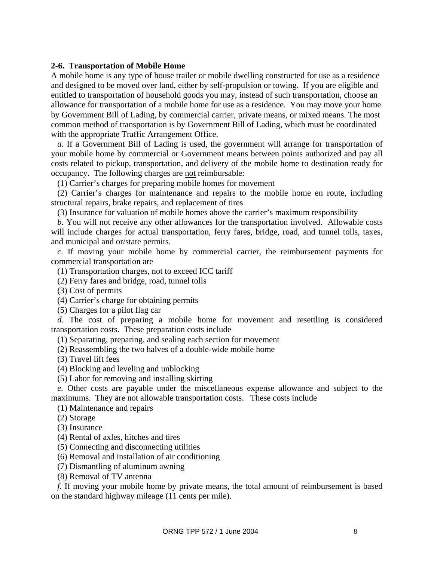#### **2-6. Transportation of Mobile Home**

A mobile home is any type of house trailer or mobile dwelling constructed for use as a residence and designed to be moved over land, either by self-propulsion or towing. If you are eligible and entitled to transportation of household goods you may, instead of such transportation, choose an allowance for transportation of a mobile home for use as a residence. You may move your home by Government Bill of Lading, by commercial carrier, private means, or mixed means. The most common method of transportation is by Government Bill of Lading, which must be coordinated with the appropriate Traffic Arrangement Office.

*a.* If a Government Bill of Lading is used, the government will arrange for transportation of your mobile home by commercial or Government means between points authorized and pay all costs related to pickup, transportation, and delivery of the mobile home to destination ready for occupancy. The following charges are not reimbursable:

(1) Carrier's charges for preparing mobile homes for movement

(2) Carrier's charges for maintenance and repairs to the mobile home en route, including structural repairs, brake repairs, and replacement of tires

(3) Insurance for valuation of mobile homes above the carrier's maximum responsibility

*b.* You will not receive any other allowances for the transportation involved. Allowable costs will include charges for actual transportation, ferry fares, bridge, road, and tunnel tolls, taxes, and municipal and or/state permits.

*c.* If moving your mobile home by commercial carrier, the reimbursement payments for commercial transportation are

(1) Transportation charges, not to exceed ICC tariff

(2) Ferry fares and bridge, road, tunnel tolls

(3) Cost of permits

(4) Carrier's charge for obtaining permits

(5) Charges for a pilot flag car

*d.* The cost of preparing a mobile home for movement and resettling is considered transportation costs. These preparation costs include

(1) Separating, preparing, and sealing each section for movement

(2) Reassembling the two halves of a double-wide mobile home

(3) Travel lift fees

(4) Blocking and leveling and unblocking

(5) Labor for removing and installing skirting

*e.* Other costs are payable under the miscellaneous expense allowance and subject to the maximums. They are not allowable transportation costs. These costs include

(1) Maintenance and repairs

(2) Storage

(3) Insurance

(4) Rental of axles, hitches and tires

(5) Connecting and disconnecting utilities

(6) Removal and installation of air conditioning

(7) Dismantling of aluminum awning

(8) Removal of TV antenna

*f.* If moving your mobile home by private means, the total amount of reimbursement is based on the standard highway mileage (11 cents per mile).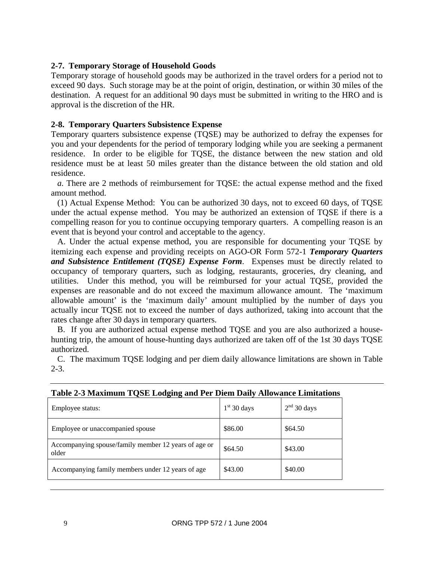# **2-7. Temporary Storage of Household Goods**

Temporary storage of household goods may be authorized in the travel orders for a period not to exceed 90 days. Such storage may be at the point of origin, destination, or within 30 miles of the destination. A request for an additional 90 days must be submitted in writing to the HRO and is approval is the discretion of the HR.

# **2-8. Temporary Quarters Subsistence Expense**

Temporary quarters subsistence expense (TQSE) may be authorized to defray the expenses for you and your dependents for the period of temporary lodging while you are seeking a permanent residence. In order to be eligible for TQSE, the distance between the new station and old residence must be at least 50 miles greater than the distance between the old station and old residence.

*a.* There are 2 methods of reimbursement for TQSE: the actual expense method and the fixed amount method.

(1) Actual Expense Method: You can be authorized 30 days, not to exceed 60 days, of TQSE under the actual expense method. You may be authorized an extension of TQSE if there is a compelling reason for you to continue occupying temporary quarters. A compelling reason is an event that is beyond your control and acceptable to the agency.

A. Under the actual expense method, you are responsible for documenting your TQSE by itemizing each expense and providing receipts on AGO-OR Form 572-1 *Temporary Quarters and Subsistence Entitlement (TQSE) Expense Form*. Expenses must be directly related to occupancy of temporary quarters, such as lodging, restaurants, groceries, dry cleaning, and utilities. Under this method, you will be reimbursed for your actual TQSE, provided the expenses are reasonable and do not exceed the maximum allowance amount. The 'maximum allowable amount' is the 'maximum daily' amount multiplied by the number of days you actually incur TQSE not to exceed the number of days authorized, taking into account that the rates change after 30 days in temporary quarters.

B. If you are authorized actual expense method TQSE and you are also authorized a househunting trip, the amount of house-hunting days authorized are taken off of the 1st 30 days TQSE authorized.

C. The maximum TQSE lodging and per diem daily allowance limitations are shown in Table 2-3.

| Table = 0 maximum TQbD Doughtg and I et Diem Dany mnowance Dimitations |               |               |
|------------------------------------------------------------------------|---------------|---------------|
| Employee status:                                                       | $1st$ 30 days | $2nd$ 30 days |
| Employee or unaccompanied spouse                                       | \$86.00       | \$64.50       |
| Accompanying spouse/family member 12 years of age or<br>older          | \$64.50       | \$43.00       |
| Accompanying family members under 12 years of age                      | \$43.00       | \$40.00       |

### **Table 2-3 Maximum TQSE Lodging and Per Diem Daily Allowance Limitations**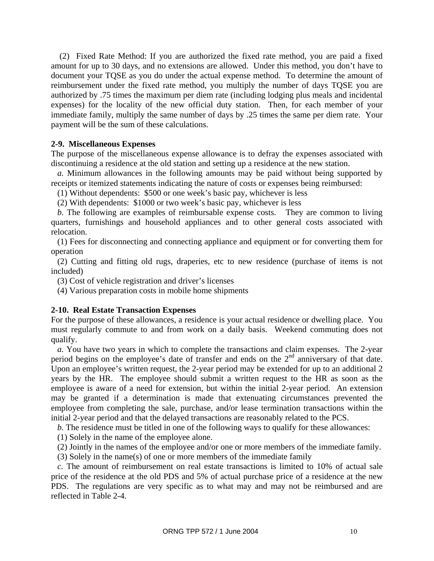(2) Fixed Rate Method: If you are authorized the fixed rate method, you are paid a fixed amount for up to 30 days, and no extensions are allowed. Under this method, you don't have to document your TQSE as you do under the actual expense method. To determine the amount of reimbursement under the fixed rate method, you multiply the number of days TQSE you are authorized by .75 times the maximum per diem rate (including lodging plus meals and incidental expenses) for the locality of the new official duty station. Then, for each member of your immediate family, multiply the same number of days by .25 times the same per diem rate. Your payment will be the sum of these calculations.

#### **2-9. Miscellaneous Expenses**

The purpose of the miscellaneous expense allowance is to defray the expenses associated with discontinuing a residence at the old station and setting up a residence at the new station.

*a.* Minimum allowances in the following amounts may be paid without being supported by receipts or itemized statements indicating the nature of costs or expenses being reimbursed:

(1) Without dependents: \$500 or one week's basic pay, whichever is less

(2) With dependents: \$1000 or two week's basic pay, whichever is less

*b.* The following are examples of reimbursable expense costs. They are common to living quarters, furnishings and household appliances and to other general costs associated with relocation.

(1) Fees for disconnecting and connecting appliance and equipment or for converting them for operation

(2) Cutting and fitting old rugs, draperies, etc to new residence (purchase of items is not included)

(3) Cost of vehicle registration and driver's licenses

(4) Various preparation costs in mobile home shipments

### **2-10. Real Estate Transaction Expenses**

For the purpose of these allowances, a residence is your actual residence or dwelling place. You must regularly commute to and from work on a daily basis. Weekend commuting does not qualify.

*a.* You have two years in which to complete the transactions and claim expenses. The 2-year period begins on the employee's date of transfer and ends on the  $2<sup>nd</sup>$  anniversary of that date. Upon an employee's written request, the 2-year period may be extended for up to an additional 2 years by the HR. The employee should submit a written request to the HR as soon as the employee is aware of a need for extension, but within the initial 2-year period. An extension may be granted if a determination is made that extenuating circumstances prevented the employee from completing the sale, purchase, and/or lease termination transactions within the initial 2-year period and that the delayed transactions are reasonably related to the PCS.

*b.* The residence must be titled in one of the following ways to qualify for these allowances:

(1) Solely in the name of the employee alone.

(2) Jointly in the names of the employee and/or one or more members of the immediate family.

(3) Solely in the name(s) of one or more members of the immediate family

*c.* The amount of reimbursement on real estate transactions is limited to 10% of actual sale price of the residence at the old PDS and 5% of actual purchase price of a residence at the new PDS. The regulations are very specific as to what may and may not be reimbursed and are reflected in Table 2-4.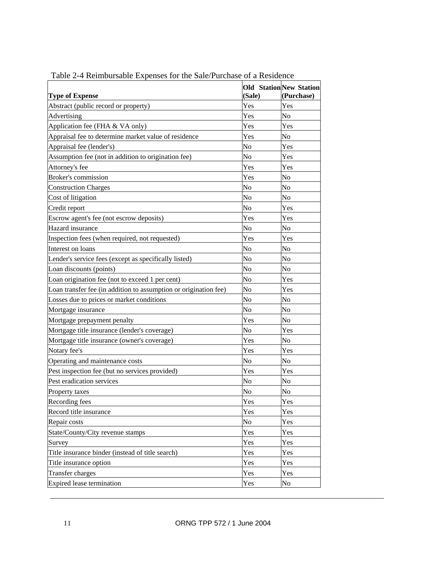|                                                                  | (Sale)    | <b>Old StationNew Station</b><br>(Purchase) |
|------------------------------------------------------------------|-----------|---------------------------------------------|
| <b>Type of Expense</b><br>Abstract (public record or property)   | Yes       | Yes                                         |
| Advertising                                                      | Yes       | No                                          |
| Application fee (FHA & VA only)                                  | Yes       | Yes                                         |
| Appraisal fee to determine market value of residence             | Yes       | No                                          |
| Appraisal fee (lender's)                                         | No        | Yes                                         |
|                                                                  |           |                                             |
| Assumption fee (not in addition to origination fee)              | No<br>Yes | Yes<br>Yes                                  |
| Attorney's fee<br><b>Broker's commission</b>                     |           |                                             |
|                                                                  | Yes       | No                                          |
| <b>Construction Charges</b>                                      | No        | No                                          |
| Cost of litigation                                               | No        | No                                          |
| Credit report                                                    | No        | Yes                                         |
| Escrow agent's fee (not escrow deposits)                         | Yes       | Yes                                         |
| Hazard insurance                                                 | No        | $\overline{N}$                              |
| Inspection fees (when required, not requested)                   | Yes       | Yes                                         |
| Interest on loans                                                | No        | No                                          |
| Lender's service fees (except as specifically listed)            | No        | No                                          |
| Loan discounts (points)                                          | No        | No                                          |
| Loan origination fee (not to exceed 1 per cent)                  | No        | Yes                                         |
| Loan transfer fee (in addition to assumption or origination fee) | No        | Yes                                         |
| Losses due to prices or market conditions                        | No        | No                                          |
| Mortgage insurance                                               | No        | No                                          |
| Mortgage prepayment penalty                                      | Yes       | No                                          |
| Mortgage title insurance (lender's coverage)                     | No        | Yes                                         |
| Mortgage title insurance (owner's coverage)                      | Yes       | No                                          |
| Notary fee's                                                     | Yes       | Yes                                         |
| Operating and maintenance costs                                  | No        | $\overline{N_{O}}$                          |
| Pest inspection fee (but no services provided)                   | Yes       | Yes                                         |
| Pest eradication services                                        | No        | No                                          |
| Property taxes                                                   | No        | No                                          |
| Recording fees                                                   | Yes       | Yes                                         |
| Record title insurance                                           | Yes       | Yes                                         |
| Repair costs                                                     | No        | Yes                                         |
| State/County/City revenue stamps                                 | Yes       | Yes                                         |
| Survey                                                           | Yes       | Yes                                         |
| Title insurance binder (instead of title search)                 | Yes       | Yes                                         |
| Title insurance option                                           | Yes       | Yes                                         |
| Transfer charges                                                 | Yes       | Yes                                         |
| Expired lease termination                                        | Yes       | No                                          |

Table 2-4 Reimbursable Expenses for the Sale/Purchase of a Residence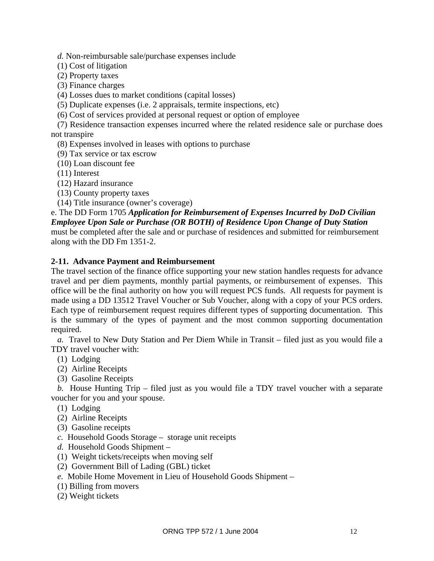*d.* Non-reimbursable sale/purchase expenses include

(1) Cost of litigation

(2) Property taxes

(3) Finance charges

(4) Losses dues to market conditions (capital losses)

(5) Duplicate expenses (i.e. 2 appraisals, termite inspections, etc)

(6) Cost of services provided at personal request or option of employee

(7) Residence transaction expenses incurred where the related residence sale or purchase does not transpire

(8) Expenses involved in leases with options to purchase

(9) Tax service or tax escrow

(10) Loan discount fee

(11) Interest

(12) Hazard insurance

(13) County property taxes

(14) Title insurance (owner's coverage)

# e. The DD Form 1705 *Application for Reimbursement of Expenses Incurred by DoD Civilian Employee Upon Sale or Purchase (OR BOTH) of Residence Upon Change of Duty Station*

must be completed after the sale and or purchase of residences and submitted for reimbursement along with the DD Fm 1351-2.

# **2-11. Advance Payment and Reimbursement**

The travel section of the finance office supporting your new station handles requests for advance travel and per diem payments, monthly partial payments, or reimbursement of expenses. This office will be the final authority on how you will request PCS funds. All requests for payment is made using a DD 13512 Travel Voucher or Sub Voucher, along with a copy of your PCS orders. Each type of reimbursement request requires different types of supporting documentation. This is the summary of the types of payment and the most common supporting documentation required.

*a.* Travel to New Duty Station and Per Diem While in Transit – filed just as you would file a TDY travel voucher with:

(1) Lodging

- (2) Airline Receipts
- (3) Gasoline Receipts

*b.* House Hunting Trip – filed just as you would file a TDY travel voucher with a separate voucher for you and your spouse.

(1) Lodging

- (2) Airline Receipts
- (3) Gasoline receipts
- *c.* Household Goods Storage storage unit receipts
- *d.* Household Goods Shipment –
- (1) Weight tickets/receipts when moving self
- (2) Government Bill of Lading (GBL) ticket
- *e.* Mobile Home Movement in Lieu of Household Goods Shipment –
- (1) Billing from movers
- (2) Weight tickets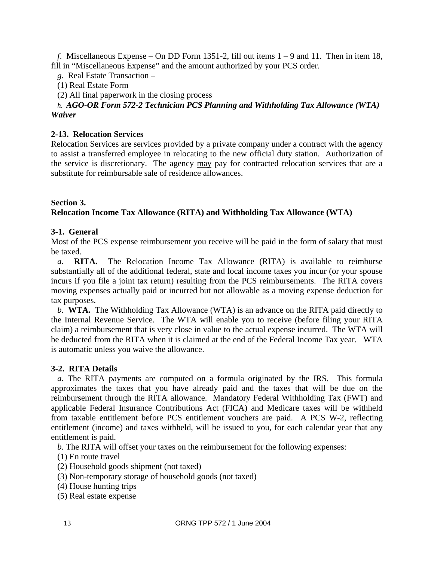*f*. Miscellaneous Expense – On DD Form 1351-2, fill out items 1 – 9 and 11. Then in item 18, fill in "Miscellaneous Expense" and the amount authorized by your PCS order.

*g.* Real Estate Transaction –

(1) Real Estate Form

(2) All final paperwork in the closing process

# *h*. *AGO-OR Form 572-2 Technician PCS Planning and Withholding Tax Allowance (WTA) Waiver*

# **2-13. Relocation Services**

Relocation Services are services provided by a private company under a contract with the agency to assist a transferred employee in relocating to the new official duty station. Authorization of the service is discretionary. The agency may pay for contracted relocation services that are a substitute for reimbursable sale of residence allowances.

#### **Section 3. Relocation Income Tax Allowance (RITA) and Withholding Tax Allowance (WTA)**

# **3-1. General**

Most of the PCS expense reimbursement you receive will be paid in the form of salary that must be taxed.

*a.* **RITA.** The Relocation Income Tax Allowance (RITA) is available to reimburse substantially all of the additional federal, state and local income taxes you incur (or your spouse incurs if you file a joint tax return) resulting from the PCS reimbursements. The RITA covers moving expenses actually paid or incurred but not allowable as a moving expense deduction for tax purposes.

*b.* **WTA.** The Withholding Tax Allowance (WTA) is an advance on the RITA paid directly to the Internal Revenue Service. The WTA will enable you to receive (before filing your RITA claim) a reimbursement that is very close in value to the actual expense incurred. The WTA will be deducted from the RITA when it is claimed at the end of the Federal Income Tax year. WTA is automatic unless you waive the allowance.

### **3-2. RITA Details**

*a.* The RITA payments are computed on a formula originated by the IRS. This formula approximates the taxes that you have already paid and the taxes that will be due on the reimbursement through the RITA allowance. Mandatory Federal Withholding Tax (FWT) and applicable Federal Insurance Contributions Act (FICA) and Medicare taxes will be withheld from taxable entitlement before PCS entitlement vouchers are paid. A PCS W-2, reflecting entitlement (income) and taxes withheld, will be issued to you, for each calendar year that any entitlement is paid.

*b.* The RITA will offset your taxes on the reimbursement for the following expenses:

(1) En route travel

- (2) Household goods shipment (not taxed)
- (3) Non-temporary storage of household goods (not taxed)
- (4) House hunting trips
- (5) Real estate expense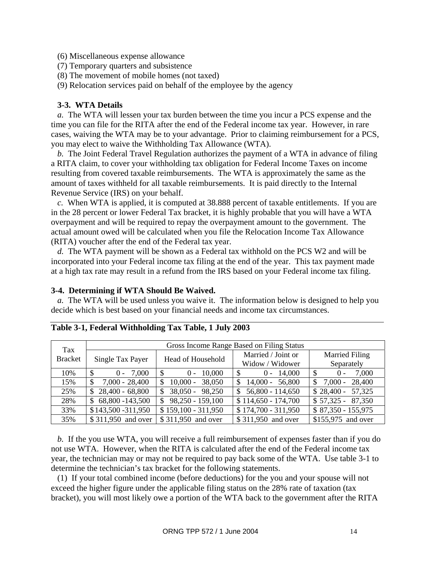(6) Miscellaneous expense allowance

- (7) Temporary quarters and subsistence
- (8) The movement of mobile homes (not taxed)
- (9) Relocation services paid on behalf of the employee by the agency

### **3-3. WTA Details**

*a.* The WTA will lessen your tax burden between the time you incur a PCS expense and the time you can file for the RITA after the end of the Federal income tax year. However, in rare cases, waiving the WTA may be to your advantage. Prior to claiming reimbursement for a PCS, you may elect to waive the Withholding Tax Allowance (WTA).

*b.* The Joint Federal Travel Regulation authorizes the payment of a WTA in advance of filing a RITA claim, to cover your withholding tax obligation for Federal Income Taxes on income resulting from covered taxable reimbursements. The WTA is approximately the same as the amount of taxes withheld for all taxable reimbursements. It is paid directly to the Internal Revenue Service (IRS) on your behalf.

*c.* When WTA is applied, it is computed at 38.888 percent of taxable entitlements. If you are in the 28 percent or lower Federal Tax bracket, it is highly probable that you will have a WTA overpayment and will be required to repay the overpayment amount to the government. The actual amount owed will be calculated when you file the Relocation Income Tax Allowance (RITA) voucher after the end of the Federal tax year.

*d.* The WTA payment will be shown as a Federal tax withhold on the PCS W2 and will be incorporated into your Federal income tax filing at the end of the year. This tax payment made at a high tax rate may result in a refund from the IRS based on your Federal income tax filing.

#### **3-4. Determining if WTA Should Be Waived.**

*a.* The WTA will be used unless you waive it. The information below is designed to help you decide which is best based on your financial needs and income tax circumstances.

| Tax            | Gross Income Range Based on Filing Status |                          |                          |                        |
|----------------|-------------------------------------------|--------------------------|--------------------------|------------------------|
| <b>Bracket</b> | Single Tax Payer                          | Head of Household        | Married / Joint or       | <b>Married Filing</b>  |
|                |                                           | Widow / Widower          | Separately               |                        |
| 10%            | \$<br>$0 - 7,000$                         | $0 - 10,000$             | \$<br>$0 - 14,000$       | 7,000<br>$(0 -$        |
| 15%            | $7,000 - 28,400$<br>\$                    | $10,000 - 38,050$        | $14,000 - 56,800$<br>\$  | $7,000 - 28,400$<br>\$ |
| 25%            | $$28,400 - 68,800$                        | $38,050 - 98,250$        | $56,800 - 114,650$<br>\$ | $$28,400 - 57,325$     |
| 28%            | $$68,800 - 143,500$                       | $98,250 - 159,100$<br>\$ | $$114,650 - 174,700$     | $$57,325 - 87,350$     |
| 33%            | \$143,500 - 311,950                       | $$159,100 - 311,950$     | $$174,700 - 311,950$     | $$87,350 - 155,975$    |
| 35%            | \$311,950 and over                        | \$311,950 and over       | \$311,950 and over       | \$155,975 and over     |

|  |  | Table 3-1, Federal Withholding Tax Table, 1 July 2003 |
|--|--|-------------------------------------------------------|
|--|--|-------------------------------------------------------|

*b.* If the you use WTA, you will receive a full reimbursement of expenses faster than if you do not use WTA. However, when the RITA is calculated after the end of the Federal income tax year, the technician may or may not be required to pay back some of the WTA. Use table 3-1 to determine the technician's tax bracket for the following statements.

(1) If your total combined income (before deductions) for the you and your spouse will not exceed the higher figure under the applicable filing status on the 28% rate of taxation (tax bracket), you will most likely owe a portion of the WTA back to the government after the RITA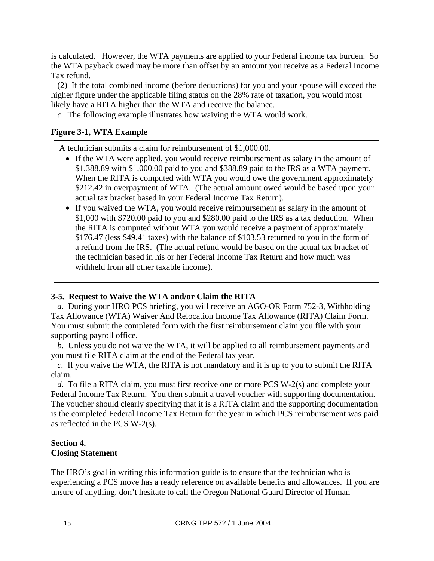is calculated. However, the WTA payments are applied to your Federal income tax burden. So the WTA payback owed may be more than offset by an amount you receive as a Federal Income Tax refund.

(2) If the total combined income (before deductions) for you and your spouse will exceed the higher figure under the applicable filing status on the 28% rate of taxation, you would most likely have a RITA higher than the WTA and receive the balance.

*c.* The following example illustrates how waiving the WTA would work.

#### **Figure 3-1, WTA Example**

A technician submits a claim for reimbursement of \$1,000.00.

- If the WTA were applied, you would receive reimbursement as salary in the amount of \$1,388.89 with \$1,000.00 paid to you and \$388.89 paid to the IRS as a WTA payment. When the RITA is computed with WTA you would owe the government approximately \$212.42 in overpayment of WTA. (The actual amount owed would be based upon your actual tax bracket based in your Federal Income Tax Return).
- If you waived the WTA, you would receive reimbursement as salary in the amount of \$1,000 with \$720.00 paid to you and \$280.00 paid to the IRS as a tax deduction. When the RITA is computed without WTA you would receive a payment of approximately \$176.47 (less \$49.41 taxes) with the balance of \$103.53 returned to you in the form of a refund from the IRS. (The actual refund would be based on the actual tax bracket of the technician based in his or her Federal Income Tax Return and how much was withheld from all other taxable income).

### **3-5. Request to Waive the WTA and/or Claim the RITA**

*a.* During your HRO PCS briefing, you will receive an AGO-OR Form 752-3, Withholding Tax Allowance (WTA) Waiver And Relocation Income Tax Allowance (RITA) Claim Form. You must submit the completed form with the first reimbursement claim you file with your supporting payroll office.

*b.* Unless you do not waive the WTA, it will be applied to all reimbursement payments and you must file RITA claim at the end of the Federal tax year.

*c.* If you waive the WTA, the RITA is not mandatory and it is up to you to submit the RITA claim.

*d.* To file a RITA claim, you must first receive one or more PCS W-2(s) and complete your Federal Income Tax Return. You then submit a travel voucher with supporting documentation. The voucher should clearly specifying that it is a RITA claim and the supporting documentation is the completed Federal Income Tax Return for the year in which PCS reimbursement was paid as reflected in the PCS W-2(s).

### **Section 4. Closing Statement**

The HRO's goal in writing this information guide is to ensure that the technician who is experiencing a PCS move has a ready reference on available benefits and allowances. If you are unsure of anything, don't hesitate to call the Oregon National Guard Director of Human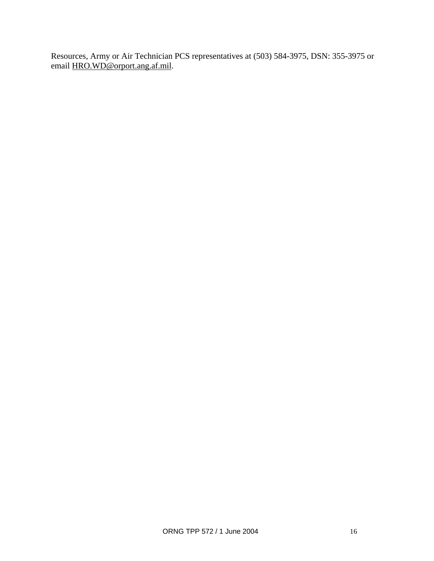Resources, Army or Air Technician PCS representatives at (503) 584-3975, DSN: 355-3975 or email HRO.WD@orport.ang.af.mil.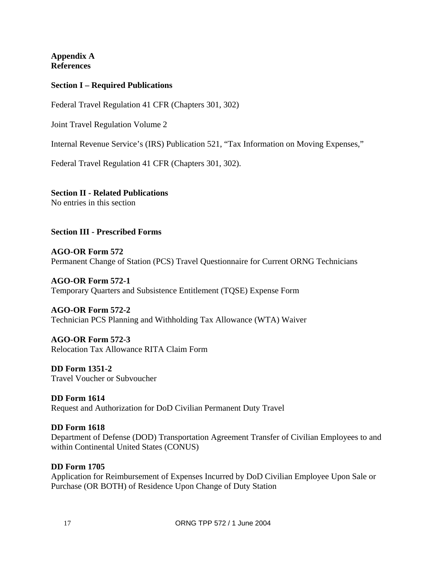**Appendix A References** 

# **Section I – Required Publications**

Federal Travel Regulation 41 CFR (Chapters 301, 302)

Joint Travel Regulation Volume 2

Internal Revenue Service's (IRS) Publication 521, "Tax Information on Moving Expenses,"

Federal Travel Regulation 41 CFR (Chapters 301, 302).

# **Section II - Related Publications**

No entries in this section

**Section III - Prescribed Forms** 

# **AGO-OR Form 572**  Permanent Change of Station (PCS) Travel Questionnaire for Current ORNG Technicians

**AGO-OR Form 572-1**  Temporary Quarters and Subsistence Entitlement (TQSE) Expense Form

# **AGO-OR Form 572-2**  Technician PCS Planning and Withholding Tax Allowance (WTA) Waiver

**AGO-OR Form 572-3**  Relocation Tax Allowance RITA Claim Form

**DD Form 1351-2**  Travel Voucher or Subvoucher

# **DD Form 1614**  Request and Authorization for DoD Civilian Permanent Duty Travel

# **DD Form 1618**

Department of Defense (DOD) Transportation Agreement Transfer of Civilian Employees to and within Continental United States (CONUS)

# **DD Form 1705**

Application for Reimbursement of Expenses Incurred by DoD Civilian Employee Upon Sale or Purchase (OR BOTH) of Residence Upon Change of Duty Station